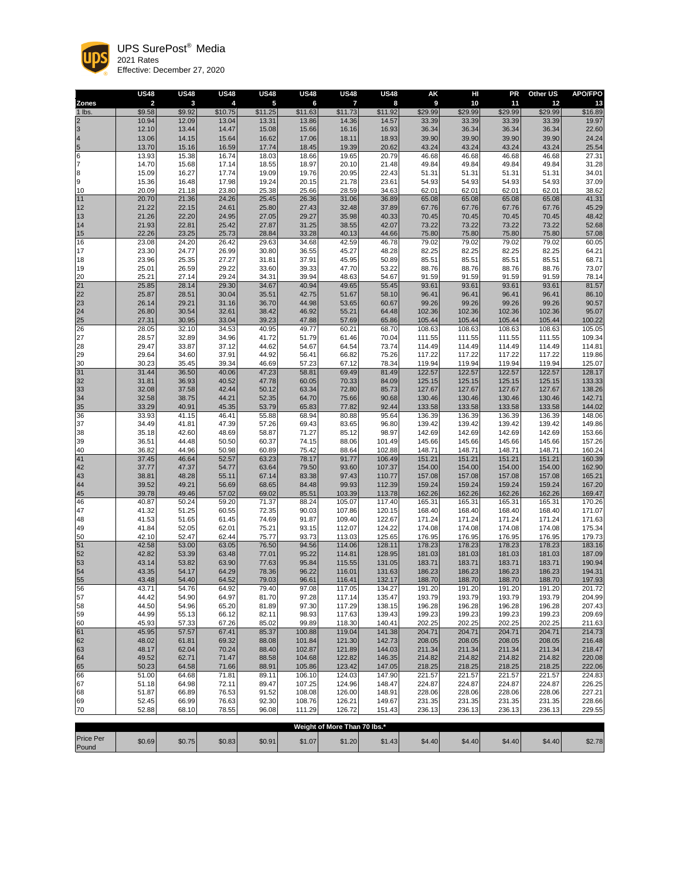|                     | <b>US48</b>             | <b>US48</b>    | <b>US48</b>    | <b>US48</b>             | <b>US48</b>      | <b>US48</b>      | <b>US48</b>      | <b>AK</b>        | HI               | <b>PR</b>        | <b>Other US</b>  | <b>APO/FPO</b>   |
|---------------------|-------------------------|----------------|----------------|-------------------------|------------------|------------------|------------------|------------------|------------------|------------------|------------------|------------------|
| <b>Zones</b>        | $\overline{\mathbf{2}}$ | $\mathbf{3}$   | 4              | $\overline{\mathbf{5}}$ | $6\phantom{a}$   | $\overline{7}$   | 8                | 9                | 10               | 11               | 12               | 13               |
| 1 lbs.              | \$9.58                  | \$9.92         | \$10.75        | \$11.25                 | \$11.63          | \$11.73          | \$11.92          | \$29.99          | \$29.99          | \$29.99          | \$29.99          | \$16.89          |
| $\overline{2}$<br>3 | 10.94<br>12.10          | 12.09<br>13.44 | 13.04<br>14.47 | 13.31<br>15.08          | 13.86<br>15.66   | 14.36<br>16.16   | 14.57<br>16.93   | 33.39<br>36.34   | 33.39<br>36.34   | 33.39<br>36.34   | 33.39<br>36.34   | 19.97<br>22.60   |
| $\overline{4}$      | 13.06                   | 14.15          | 15.64          | 16.62                   | 17.06            | 18.11            | 18.93            | 39.90            | 39.90            | 39.90            | 39.90            | 24.24            |
| $\overline{5}$      | 13.70                   | 15.16          | 16.59          | 17.74                   | 18.45            | 19.39            | 20.62            | 43.24            | 43.24            | 43.24            | 43.24            | 25.54            |
| 6                   | 13.93                   | 15.38          | 16.74          | 18.03                   | 18.66            | 19.65            | 20.79            | 46.68            | 46.68            | 46.68            | 46.68            | 27.31            |
| $\overline{7}$      | 14.70                   | 15.68          | 17.14          | 18.55                   | 18.97            | 20.10            | 21.48            | 49.84            | 49.84            | 49.84            | 49.84            | 31.28            |
| 8                   | 15.09                   | 16.27          | 17.74          | 19.09                   | 19.76            | 20.95            | 22.43            | 51.31            | 51.31            | 51.31            | 51.31            | 34.01            |
| 9                   | 15.36                   | 16.48          | 17.98          | 19.24                   | 20.15            | 21.78            | 23.61            | 54.93            | 54.93            | 54.93            | 54.93            | 37.09            |
| 10                  | 20.09                   | 21.18          | 23.80          | 25.38                   | 25.66            | 28.59            | 34.63            | 62.01            | 62.01            | 62.01            | 62.01            | 38.62            |
| 11                  | 20.70                   | 21.36          | 24.26          | 25.45                   | 26.36            | 31.06            | 36.89            | 65.08            | 65.08            | 65.08            | 65.08            | 41.31            |
| 12                  | 21.22                   | 22.15          | 24.61          | 25.80                   | 27.43            | 32.48            | 37.89            | 67.76            | 67.76            | 67.76            | 67.76            | 45.29<br>48.42   |
| 13<br>14            | 21.26<br>21.93          | 22.20<br>22.81 | 24.95<br>25.42 | 27.05<br>27.87          | 29.27<br>31.25   | 35.98<br>38.55   | 40.33<br>42.07   | 70.45<br>73.22   | 70.45<br>73.22   | 70.45<br>73.22   | 70.45<br>73.22   | 52.68            |
| 15                  | 22.26                   | 23.25          | 25.73          | 28.84                   | 33.28            | 40.13            | 44.66            | 75.80            | 75.80            | 75.80            | 75.80            | 57.08            |
| 16                  | 23.08                   | 24.20          | 26.42          | 29.63                   | 34.68            | 42.59            | 46.78            | 79.02            | 79.02            | 79.02            | 79.02            | 60.05            |
| 17                  | 23.30                   | 24.77          | 26.99          | 30.80                   | 36.55            | 45.27            | 48.28            | 82.25            | 82.25            | 82.25            | 82.25            | 64.21            |
| 18                  | 23.96                   | 25.35          | 27.27          | 31.81                   | 37.91            | 45.95            | 50.89            | 85.51            | 85.51            | 85.51            | 85.51            | 68.71            |
| 19                  | 25.01                   | 26.59          | 29.22          | 33.60                   | 39.33            | 47.70            | 53.22            | 88.76            | 88.76            | 88.76            | 88.76            | 73.07            |
| 20                  | 25.21                   | 27.14          | 29.24          | 34.31                   | 39.94            | 48.63            | 54.67            | 91.59            | 91.59            | 91.59            | 91.59            | 78.14            |
| 21<br>22            | 25.85<br>25.87          | 28.14<br>28.51 | 29.30<br>30.04 | 34.67<br>35.51          | 40.94<br>42.75   | 49.65<br>51.67   | 55.45            | 93.61<br>96.41   | 93.61<br>96.41   | 93.61<br>96.41   | 93.61<br>96.41   | 81.57<br>86.10   |
| 23                  | 26.14                   | 29.21          | 31.16          | 36.70                   | 44.98            | 53.65            | 58.10<br>60.67   | 99.26            | 99.26            | 99.26            | 99.26            | 90.57            |
| 24                  | 26.80                   | 30.54          | 32.61          | 38.42                   | 46.92            | 55.21            | 64.48            | 102.36           | 102.36           | 102.36           | 102.36           | 95.07            |
|                     | 27.31                   | 30.95          | 33.04          | 39.23                   | 47.88            | 57.69            | 65.86            | 105.44           | 105.44           | 105.44           | 105.44           | 100.22           |
| $\frac{25}{26}$     | 28.05                   | 32.10          | 34.53          | 40.95                   | 49.77            | 60.21            | 68.70            | 108.63           | 108.63           | 108.63           | 108.63           | 105.05           |
| 27                  | 28.57                   | 32.89          | 34.96          | 41.72                   | 51.79            | 61.46            | 70.04            | 111.55           | 111.55           | 111.55           | 111.55           | 109.34           |
| 28                  | 29.47                   | 33.87          | 37.12          | 44.62                   | 54.67            | 64.54            | 73.74            | 114.49           | 114.49           | 114.49           | 114.49           | 114.81           |
| 29                  | 29.64                   | 34.60          | 37.91          | 44.92                   | 56.41            | 66.82            | 75.26            | 117.22           | 117.22           | 117.22           | 117.22           | 119.86           |
| $30\,$<br>31        | 30.23<br>31.44          | 35.45<br>36.50 | 39.34<br>40.06 | 46.69<br>47.23          | 57.23<br>58.81   | 67.12<br>69.49   | 78.34<br>81.49   | 119.94<br>122.57 | 119.94<br>122.57 | 119.94<br>122.57 | 119.94<br>122.57 | 125.07<br>128.17 |
| 32                  | 31.81                   | 36.93          | 40.52          | 47.78                   | 60.05            | 70.33            | 84.09            | 125.15           | 125.15           | 125.15           | 125.15           | 133.33           |
| 33                  | 32.08                   | 37.58          | 42.44          | 50.12                   | 63.34            | 72.80            | 85.73            | 127.67           | 127.67           | 127.67           | 127.67           | 138.26           |
| 34                  | 32.58                   | 38.75          | 44.21          | 52.35                   | 64.70            | 75.66            | 90.68            | 130.46           | 130.46           | 130.46           | 130.46           | 142.71           |
| 35                  | 33.29                   | 40.91          | 45.35          | 53.79                   | 65.83            | 77.82            | 92.44            | 133.58           | 133.58           | 133.58           | 133.58           | 144.02           |
| 36                  | 33.93                   | 41.15          | 46.41          | 55.88                   | 68.94            | 80.88            | 95.64            | 136.39           | 136.39           | 136.39           | 136.39           | 148.06           |
| 37                  | 34.49                   | 41.81          | 47.39          | 57.26                   | 69.43            | 83.65            | 96.80            | 139.42           | 139.42           | 139.42           | 139.42           | 149.86           |
| 38<br>39            | 35.18<br>36.51          | 42.60<br>44.48 | 48.69<br>50.50 | 58.87<br>60.37          | 71.27<br>74.15   | 85.12<br>88.06   | 98.97<br>101.49  | 142.69<br>145.66 | 142.69<br>145.66 | 142.69<br>145.66 | 142.69<br>145.66 | 153.66<br>157.26 |
| 40                  | 36.82                   | 44.96          | 50.98          | 60.89                   | 75.42            | 88.64            | 102.88           | 148.71           | 148.71           | 148.71           | 148.71           | 160.24           |
| 41                  | 37.45                   | 46.64          | 52.57          | 63.23                   | 78.17            | 91.77            | 106.49           | 151.21           | 151.21           | 151.21           | 151.21           | 160.39           |
| 42                  | 37.77                   | 47.37          | 54.77          | 63.64                   | 79.50            | 93.60            | 107.37           | 154.00           | 154.00           | 154.00           | 154.00           | 162.90           |
| 43                  | 38.81                   | 48.28          | 55.11          | 67.14                   | 83.38            | 97.43            | 110.77           | 157.08           | 157.08           | 157.08           | 157.08           | 165.21           |
| 44                  | 39.52                   | 49.21          | 56.69          | 68.65                   | 84.48            | 99.93            | 112.39           | 159.24           | 159.24           | 159.24           | 159.24           | 167.20           |
| 45                  | 39.78                   | 49.46          | 57.02          | 69.02                   | 85.51            | 103.39           | 113.78           | 162.26           | 162.26           | 162.26           | 162.26           | 169.47           |
| 46<br>47            | 40.87<br>41.32          | 50.24<br>51.25 | 59.20<br>60.55 | 71.37<br>72.35          | 88.24<br>90.03   | 105.07<br>107.86 | 117.40<br>120.15 | 165.31<br>168.40 | 165.31<br>168.40 | 165.31<br>168.40 | 165.31<br>168.40 | 170.26<br>171.07 |
| 48                  | 41.53                   | 51.65          | 61.45          | 74.69                   | 91.87            | 109.40           | 122.67           | 171.24           | 171.24           | 171.24           | 171.24           | 171.63           |
| 49                  | 41.84                   | 52.05          | 62.01          | 75.21                   | 93.15            | 112.07           | 124.22           | 174.08           | 174.08           | 174.08           | 174.08           | 175.34           |
| 50                  | 42.10                   | 52.47          | 62.44          | 75.77                   | 93.73            | 113.03           | 125.65           | 176.95           | 176.95           | 176.95           | 176.95           | 179.73           |
| 51                  | 42.58                   | 53.00          | 63.05          | 76.50                   | 94.56            | 114.06           | 128.11           | 178.23           | 178.23           | 178.23           | 178.23           | 183.16           |
| 52                  | 42.82                   | 53.39          | 63.48          | 77.01                   | 95.22            | 114.81           | 128.95           | 181.03           | 181.03           | 181.03           | 181.03           | 187.09           |
| 53                  | 43.14                   | 53.82          | 63.90          | 77.63                   | 95.84            | 115.55           | 131.05           | 183.71           | 183.71           | 183.71           | 183.71           | 190.94           |
| 54<br>55            | 43.35<br>43.48          | 54.17<br>54.40 | 64.29<br>64.52 | 78.36<br>79.03          | 96.22<br>96.61   | 116.01<br>116.41 | 131.63<br>132.17 | 186.23<br>188.70 | 186.23<br>188.70 | 186.23<br>188.70 | 186.23<br>188.70 | 194.31<br>197.93 |
| 56                  | 43.71                   | 54.76          | 64.92          | 79.40                   | 97.08            | 117.05           | 134.27           | 191.20           | 191.20           | 191.20           | 191.20           | 201.72           |
| 57                  | 44.42                   | 54.90          | 64.97          | 81.70                   | 97.28            | 117.14           | 135.47           | 193.79           | 193.79           | 193.79           | 193.79           | 204.99           |
| 58                  | 44.50                   | 54.96          | 65.20          | 81.89                   | 97.30            | 117.29           | 138.15           | 196.28           | 196.28           | 196.28           | 196.28           | 207.43           |
| 59                  | 44.99                   | 55.13          | 66.12          | 82.11                   | 98.93            | 117.63           | 139.43           | 199.23           | 199.23           | 199.23           | 199.23           | 209.69           |
| 60                  | 45.93                   | 57.33          | 67.26          | 85.02                   | 99.89            | 118.30           | 140.41           | 202.25           | 202.25           | 202.25           | 202.25           | 211.63           |
| 61                  | 45.95                   | 57.57          | 67.41          | 85.37                   | 100.88           | 119.04           | 141.38           | 204.71           | 204.71           | 204.71           | 204.71           | 214.73           |
| 62<br>63            | 48.02<br>48.17          | 61.81<br>62.04 | 69.32<br>70.24 | 88.08<br>88.40          | 101.84<br>102.87 | 121.30<br>121.89 | 142.73<br>144.03 | 208.05<br>211.34 | 208.05<br>211.34 | 208.05<br>211.34 | 208.05<br>211.34 | 216.48<br>218.47 |
| 64                  | 49.52                   | 62.71          | 71.47          | 88.58                   | 104.68           | 122.82           | 146.35           | 214.82           | 214.82           | 214.82           | 214.82           | 220.08           |
| 65                  | 50.23                   | 64.58          | 71.66          | 88.91                   | 105.86           | 123.42           | 147.05           | 218.25           | 218.25           | 218.25           | 218.25           | 222.06           |
| 66                  | 51.00                   | 64.68          | 71.81          | 89.11                   | 106.10           | 124.03           | 147.90           | 221.57           | 221.57           | 221.57           | 221.57           | 224.83           |
| 67                  | 51.18                   | 64.98          | 72.11          | 89.47                   | 107.25           | 124.96           | 148.47           | 224.87           | 224.87           | 224.87           | 224.87           | 226.25           |
| 68                  | 51.87                   | 66.89          | 76.53          | 91.52                   | 108.08           | 126.00           | 148.91           | 228.06           | 228.06           | 228.06           | 228.06           | 227.21           |
| 69                  | 52.45                   | 66.99          | 76.63          | 92.30                   | 108.76           | 126.21           | 149.67           | 231.35           | 231.35           | 231.35           | 231.35           | 228.66           |
| 70                  | 52.88                   | 68.10          | 78.55          | 96.08                   | 111.29           | 126.72           | 151.43           | 236.13           | 236.13           | 236.13           | 236.13           | 229.55           |

| Weight of More Than 70 lbs.* |        |        |        |        |        |      |        |        |        |        |        |       |
|------------------------------|--------|--------|--------|--------|--------|------|--------|--------|--------|--------|--------|-------|
| <b>Price Per</b><br>Pound    | \$0.69 | \$0.75 | \$0.83 | \$0.91 | \$1.07 | 1.20 | \$1.43 | \$4.40 | \$4.40 | \$4.40 | \$4.40 | ሶኅ 70 |



UPS SurePost® Media 2021 Rates

Effective: December 27, 2020